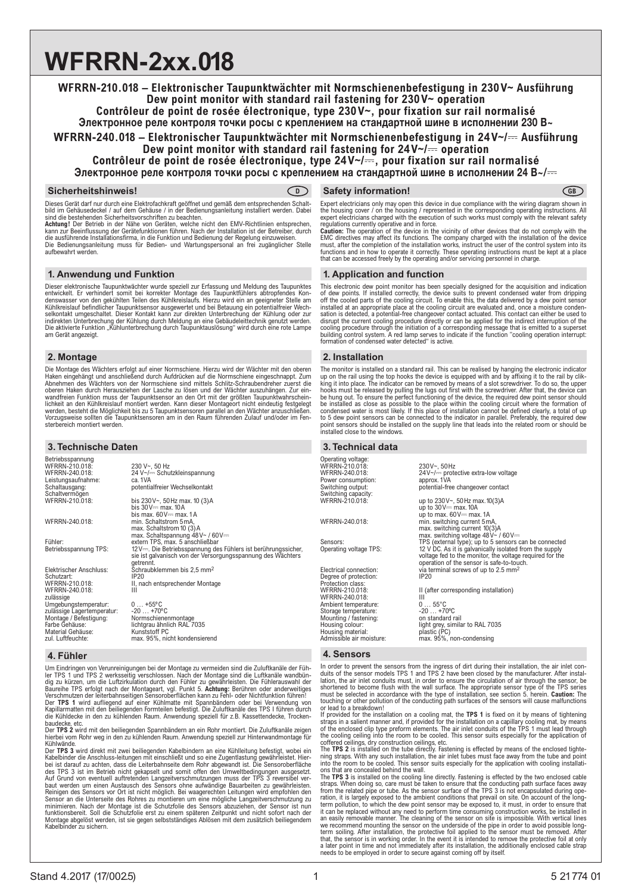# **WFRRN-2xx.018**

# **WFRRN-210.018 – Elektronischer Taupunktwächter mit Normschienenbefestigung in 230 V~ Ausführung Dew point monitor with standard rail fastening for 230V~ operation**

**Contrôleur de point de rosée électronique, type 230V~, pour fixation sur rail normalisé** Электронное реле контроля точки росы с креплением на стандартной шине в исполнении 230 В~

**WFRRN-240.018 – Elektronischer Taupunktwächter mit Normschienenbefestigung in 24 V~/**4 **Ausführung Dew point monitor with standard rail fastening for 24V~/**4 **operation Contrôleur de point de rosée électronique, type 24V~/**4**, pour fixation sur rail normalisé**

Электронное реле контроля точки росы с креплением на стандартной шине в исполнении 24 В $\sim$ / $\leftarrow$ 

#### **Sicherheitshinweis!**

Dieses Gerät darf nur durch eine Elektrofachkraft geöffnet und gemäß dem entsprechenden Schaltbild im Gehäusedeckel / auf dem Gehäuse / in der Bedienungsanleitung installiert werden. Dabei sind die bestehenden Sicherheitsvorschriften zu beachten.

**Achtung!** Der Betrieb in der Nähe von Geräten, welche nicht den EMV-Richtlinien entsprechen, kann zur Beeinflussung der Gerätefunktionen führen. Nach der Installation ist der Betreiber, durch<br>die ausführende Installationsfirma, in die Funktion und Bedienung der Regelung einzuweisen.<br>Die Bedienungsanleitung muss f aufbewahrt werden.

# **1. Anwendung und Funktion**

Dieser elektronische Taupunktwächter wurde speziell zur Erfassung und Meldung des Taupunktes entwickelt. Er verhindert somit bei korrekter Montage des Taupunktfühlers abtropfendes Kon-<br>denswasser von den gekühlten Teilen des Kühlkreislaufs. Hierzu wird ein an geeigneter Stelle am<br>Kühlkreislauf befindlicher Taupunk selkontakt umgeschaltet. Dieser Kontakt kann zur direkten Unterbrechung der Kühlung oder zur<br>indirekten Unterbrechung der Kühlung durch Meldung an eine Gebäudeleittechnik genutzt werden.<br>Die aktivierte Funktion "Kühlunterb am Gerät angezeigt.

## **2. Montage**

Die Montage des Wächters erfolgt auf einer Normschiene. Hierzu wird der Wächter mit den oberen<br>Haken eingehängt und anschließend durch Aufdrücken auf die Normschiene eingeschnappt. Zum<br>Abnehmen des Wächters von der Normsch wandfreien Funktion muss der Taupunktsensor an den Ort mit der größten Taupunktwahrschein-<br>lichkeit an den Kühlkreislauf montiert werden. Kann dieser Montageort nicht eindeutig festgelegt<br>werden, besteht die Möglichkeit bi Vorzugsweise sollten die Taupunktsensoren am in den Raum führenden Zulauf und/oder im Fen-sterbereich montiert werden.

# **3. Technische Daten**

| Betriebsspannung                                   |                                                              |
|----------------------------------------------------|--------------------------------------------------------------|
| WFRRN-210.018:                                     | 230 V~, 50 Hz                                                |
| WFRRN-240.018:                                     | 24 V~/- Schutzkleinspannung                                  |
| Leistungsaufnahme:                                 | ca. 1VA                                                      |
| Schaltausgang:                                     | potentialfreier Wechselkontakt                               |
| Schaltvermögen                                     |                                                              |
| WFRRN-210.018:                                     | bis 230V~, 50Hz max. 10 (3)A                                 |
|                                                    | bis $30V$ $=$ max, $10A$                                     |
|                                                    | bis max. $60V$ = max. 1A                                     |
| WFRRN-240.018:                                     | min. Schaltstrom 5mA,<br>max. Schaltstrom 10 (3) A           |
|                                                    | max. Schaltspannung $48V \sim 60V =$                         |
| Fühler:                                            | extern TPS, max, 5 anschließbar                              |
| Betriebsspannung TPS:                              | $12V$ Die Betriebsspannung des Fühlers ist berührungssicher, |
|                                                    | sie ist galvanisch von der Versorgungsspannung des Wächters  |
|                                                    | getrennt.                                                    |
| Elektrischer Anschluss:                            | Schraubklemmen bis 2,5 mm <sup>2</sup>                       |
| Schutzart:                                         | IP <sub>20</sub>                                             |
| WFRRN-210.018:                                     | II, nach entsprechender Montage                              |
| WFRRN-240.018:                                     | Ш                                                            |
| zulässige                                          | $0+55$ °C                                                    |
| Umgebungstemperatur:<br>zulässige Lagertemperatur: | $-20+70°C$                                                   |
| Montage / Befestigung:                             | Normschienenmontage                                          |
| Farbe Gehäuse:                                     | lichtgrau ähnlich RAL 7035                                   |
| Material Gehäuse:                                  | Kunststoff PC                                                |
| zul Luftfeuchte:                                   | max 95% nicht kondensierend                                  |

## **4. Fühler**

Um Eindringen von Verunreinigungen bei der Montage zu vermeiden sind die Zuluftkanäle der Fühler TPS 1 und TPS 2 werksseitig verschlossen. Nach der Montage sind die Luftkanäle wandbündig zu kürzen, um die Luftzirkulation durch den Fühler zu gewähnelsten. Die Fühlerauswahl der Baureihe TPS erfolgt nach der Montagea

baudecke, etc. Der **TPS 2** wird mit den beiliegenden Spannbändern an ein Rohr montiert. Die Zuluftkanäle zeigen hierbei vom Rohr weg in den zu kühlenden Raum. Anwendung speziell zur Hinterwandmontage für

Kühlwände. Der **TPS 3** wird direkt mit zwei beiliegenden Kabelbindern an eine Kühlleitung befestigt, wobei ein Kabelbinder die Anschluss-leitungen mit einschließt und so eine Zugentlastung gewährleistet. Hier-<br>bei ist darauf zu achten, dass die Leiterbahnseite dem Rohr abgewandt ist. Die Sensoroberfläche<br>des TPS 3 ist im Betrieb ni Auf Grund von eventuell auftretenden Langzeitverschmutzungen muss der TPS 3 reversibel ver-<br>baut werden um einen Austausch des Sensors ohne aufwändige Bauarbeiten zu gewährleisten.<br>Reinigen des Sensors vor Ort ist nicht mö Sensör an die Unterseite des Rohres zu möntieren um eine mögliche Langzeitverschmutzung zu<br>minimieren. Nach der Montage ist die Schutzfolie des Sensors abzuziehen, der Sensor ist nun<br>funktionsbereit. Soll die Schutzfolie e Kabelbinder zu sichern.

# **CGB Safety information!** CGB

Expert electricians only may open this device in due compliance with the wiring diagram shown in the housing cover / on the housing / represented in the corresponding operating instructions. All expert electricians charged with the execution of such works must comply with the relevant safety regulations currently operative and in force.

Caution: The operation of the device in the vicinity of other devices that do not comply with the<br>EMC directives may affect its functions. The company charged with the installation of the device<br>must, after the completion functions and in how to operate it correctly. These operating instructions must be kept at a place that can be accessed freely by the operating and/or servicing personnel in charge.

# **1. Application and function**

This electronic dew point monitor has been specially designed for the acquisition and indication of dew points. If installed correctly, the device suits to prevent condensed water from dripping<br>off the cooled parts of the cooling circuit. To enable this, the data delivered by a dew point sensor<br>installed at an appropr sation is detected, a potential-free changeover contact actuated. This contact can either be used to<br>disrupt the current cooling procedure directly or can be applied for the indirect interruption of the<br>cooling procedure t building control system. A red lamp serves to indicate if the function "cooling operation interrupt: formation of condensed water detected" is active.

# **2. Installation**

The monitor is installed on a standard rail. This can be realised by hanging the electronic indicator<br>up on the rail using the top hooks the device is equipped with and by affixing it to the rail by clik-<br>king it into plac to 5 dew point sensors can be connected to the indicator in parallel. Preferably, the required dew<br>point sensors should be installed on the supply line that leads into the related room or should be<br>installed close to the w

## **3. Technical data**

Operating voltage: WFRRN-210.018: 230V~, 50Hz 230V~, 50Hz<br>24V~/== protective extra-low voltage<br>approx. 1VA Power consumption: stit:<br>it: potential-free changeover contact<br>ity: Switching output:<br>Switching capacity<br>WFRRN-210.018: up to  $230V - 50Hz$  max.  $10(3)A$ up to 30V== max. 10A<br>up to max. 60V== max. 1A<br>min. switching current 5mA, witching current 5mA, max. switching current 10(3)A<br>max. switching voltage 48V~ / 60V≕<br>Sensors: TPS (external type); up to 5 sensors can be connected Operating voltage TPS: 12 V DC. As it is galvanically isolated from the supply<br>
voltage fed to the monitor, the voltage required for the<br>
operation of the sensor is safe-to-touch. Electrical connection: via terminal screws of up to 2.5 mm Degree of protection: IP20 Protection class: II (after corresponding installation) WFRRN-210.018: III (after community of the UNIT RESORT RESORT III<br>Ambient temperature: 0 ... 55°C Ambient temperature:<br>
Storage temperature: 0 ... 55°C<br>
Storage temperature: 20 ... +70°C Storage temperature: - -20 ... +70°C<br>Mounting / fastening: - - - on standard rail Housing colour: light grey, similar to RAL 7035 Housing colour:<br>Housing material:<br>Admissible air moisture: Admissible air moisture: max. 95%, non-condensing

## **4. Sensors**

In order to prevent the sensors from the ingress of dirt during their installation, the air inlet con-duits of the sensor models TPS 1 and TPS 2 have been closed by the manufacturer. After installation, the air inlet conduits must, in order to ensure the circulation of air through the sensor, be<br>shortened to become flush with the wall surface. The appropriate sensor type of the TPS series<br>must be selected in accor touching or other pollution of the conducting path surfaces of the sensors will cause malfunctions<br>or lead to a breakdown!<br>If provided for the installation on a cooling mat, the TPS 1 is fixed on it by means of tightening

straps in a salient manner and, if provided for the installation on a capillary cooling mat, by means<br>of the enclosed clip type preform elements. The air inlet conduits of the FPS 1 must lead through<br>the cooling ceiling in

into the room to be cooled. This sensor suits especially for the application with cooling installati-

ons that are concealed behind the wall.<br>The TPS 3 is installed on the cooling line directly. Fastening is effected by the two enclosed cable<br>traps. When doing so, care must be taken to ensure that the conducting path surfa term pollution, to which the dew point sensor may be exposed to, it must, in order to ensure that<br>it can be replaced without any need to perform time consuming construction works, be installed in<br>an easily removable manner needs to be employed in order to secure against coming off by itself.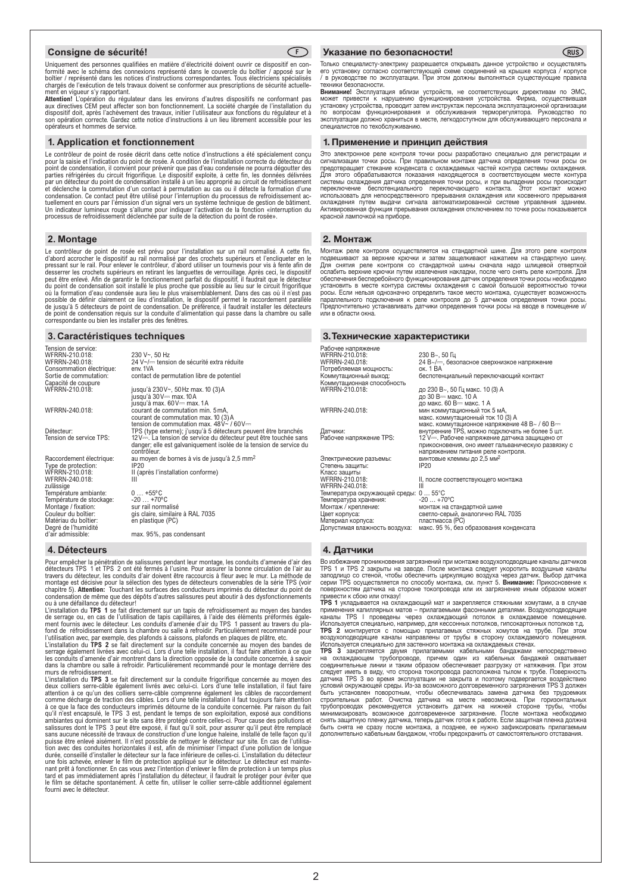

Uniquement des personnes qualifiées en matière d'électricité doivent ouvrir ce dispositif en con-formité avec le schéma des connexions représenté dans le couvercle du boîtier / apposé sur le boîtier / représenté dans les notices d'instructions correspondantes. Tous électriciens spécialisés chargés de l'exécution de tels travaux doivent se conformer aux prescriptions de sécurité actuellement en vigueur s'y rapportant.

**Attention!** L'opération du régulateur dans les environs d'autres dispositifs ne conformant pas<br>aux directives CEM peut affecter son bon fonctionnement. La société chargée de l'installation du<br>dispositif doit, après l'achè son opération correcte. Gardez cette notice d'instructions à un lieu librement accessible pour les opérateurs et hommes de service.

#### **1. Application et fonctionnement**

Le contrôleur de point de rosée décrit dans cette notice d'instructions a été spécialement conçu pour la saisie et l'indication du point de rosée. A condition de l'installation correcte du détecteur du point de condensation, il convient pour prévenir que pas d'eau condensée ne pourra dégoutter des<br>parties réfrigérées du circuit frigorifique. Le dispositif exploite, à cette fin, les données délivrées<br>par un détecteur du p et déclenche la commutation d'un contact à permutation au cas ou il détecte la formation d'une<br>condensation. Ce contact peut être utilisé pour l'interruption du processus de refroidissement ac-<br>tuellement en cours par l'ém

#### **2. Montage**

Le contrôleur de point de rosée est prévu pour l'installation sur un rail normalisé. A cette fin,<br>d'abord accrocher le dispositif au rail normalisé par des crochets supérieurs et l'encliqueter en le<br>pressant sur le rail. P peut être enlevé. Afin de garantir le fonctionnement parfait du dispositif, il faudrait que le détecteur<br>du point de condensation soit installé le plus proche que possible au lieu sur le circuit frigorifique<br>où la formatio correspondante ou bien les installer près des fenêtres.

#### **3. Caractéristiques techniques**

| Tension de service:<br>WFRRN-210.018:<br>WFRRN-240.018:<br>Consommation électrique:<br>Sortie de commutation:<br>Capacité de coupure | 230 V~, 50 Hz<br>24 V~/- tension de sécurité extra réduite<br>env. 1VA<br>contact de permutation libre de potentiel                                                                                                     |
|--------------------------------------------------------------------------------------------------------------------------------------|-------------------------------------------------------------------------------------------------------------------------------------------------------------------------------------------------------------------------|
| WFRRN-210.018:                                                                                                                       | jusqu'à 230V~, 50Hz max. 10 (3)A<br>jusqu'à 30V== max. 10A<br>jusqu'à max. 60V== max. 1A                                                                                                                                |
| WFRRN-240.018:                                                                                                                       | courant de commutation min. 5 mA,<br>courant de commutation max. 10 (3) A<br>tension de commutation max. $48V - 160V =$                                                                                                 |
| Détecteur:<br>Tension de service TPS:                                                                                                | TPS (type externe); j'usqu'à 5 détecteurs peuvent être branchés<br>12V—. La tension de service du détecteur peut être touchée sans<br>danger; elle est galvaniquement isolée de la tension de service du<br>contrôleur. |
| Raccordement électrique:                                                                                                             | au moyen de bornes à vis de jusqu'à 2,5 mm <sup>2</sup>                                                                                                                                                                 |
| Type de protection:                                                                                                                  | IP20                                                                                                                                                                                                                    |
| WFRRN-210.018:<br>WFRRN-240.018:                                                                                                     | II (après l'installation conforme)<br>Ш                                                                                                                                                                                 |
| zulässige                                                                                                                            |                                                                                                                                                                                                                         |
| Température ambiante:                                                                                                                | $0+55$ °C                                                                                                                                                                                                               |
| Température de stockage:                                                                                                             | $-20$ $+70^{\circ}$ C                                                                                                                                                                                                   |
| Montage / fixation:                                                                                                                  | sur rail normalisé                                                                                                                                                                                                      |
| Couleur du boîtier:                                                                                                                  | gis claire, similaire à RAL 7035                                                                                                                                                                                        |
| Matériau du boîtier:                                                                                                                 | en plastique (PC)                                                                                                                                                                                                       |
| Degré de l'humidité<br>d'air admissible:                                                                                             | max. 95%, pas condensant                                                                                                                                                                                                |

#### **4. Détecteurs**

Pour empêcher la pénétration de salissures pendant leur montage, les conduits d'amenée d'air des<br>détecteurs TPS 1 et TPS 2 ont été fermés à l'usine. Pour assurer la bonne circulation de l'air au<br>travers du détecteur, les montage est décisive pour la sélection des types de détecteurs convenables de la série TPS (voir<br>chapitre 5). **Attention:** Touchant les surfaces des conducteurs imprimés du détecteur du point de<br>condensation de même que de

ou à une défaillance du détecteur!<br>L'installation du **TPS 1** se fait directement sur un tapis de refroidissement au moyen des bandes<br>de serrage ou, en cas de l'utilisation de tapis capillaires, à l'aide des éléments préfor ment fournis avec le détecteur. Les conduits d'amenée d'air du TPS 1 passent au travers du pla-<br>fond de réfroidissement dans la chambre ou salle à refroidir. Particulièrement recommandé pour<br>l'utilisation avec, par exemp

L'installation du **TPS 2** se fait directement sur la conduite concernée au moyen des bandes de<br>serrage également livrées avec celui-ci. Lors d'une telle installation, il faut faire attention à ce que<br>les conduits d'amenée dans la chambre ou salle à refroidir. Particulièrement recommandé pour le montage derrière des

murs de refroidissement. L'installation du **TPS 3** se fait directement sur la conduite frigorifique concernée au moyen des deux colliers serre-câble également livrés avec celui-ci. Lors d'une telle installation, il faut faire<br>attention à ce qu'un des colliers serre-câble comprenne également les câbles de raccordement<br>comme décharge de traction à ce que la face des conducteurs imprimés détourne de la conduite concernée. Par raison du fait<br>qu'il n'est encapsulé, le TPS 3 est, pendant le temps de son exploitation, exposé aux conditions<br>ambiantes qui dominent sur le durée, conseillé d'installer le détecteur sur la face inférieure de celles-ci. L'installation du détecteur<br>une fois achevée, enlever le film de protection appliqué sur le détecteur. Le détecteur est mainte-<br>nant prêt à fon fourni avec le détecteur

#### **Consigne de sécurité! F Указание по безопасности!**

Только специалисту-электрику разрешается открывать данное устройство и осуществлять<br>его установку согласно соответствующей схеме соединений на крышке корпуса / корпусе<br>/ в руководстве по эксплуатации. При этом должны выпо .<br>ики безопасности.

**RUS**

**Внимание!** Эксплуатация вблизи устройств, не соответствующих директивам по ЭМС,<br>может привести к нарушению функционирования устройства. Фирма, осуществившая установку устройства, проводит затем инструктаж персонала эксплуатационной организации<br>по вопросам функционирования и обслуживания терморегулятора. Руководство по<br>эксплуатации должно храниться в месте, легко специалистов по техобслуживанию.

#### 1. Применение и принцип действия

Это электронное реле контроля точки росы разработано специально для регистрации и сигнализации точки росы. При правильном монтаже датчика определения точки росы он предотвращает стекание конденсата с охлаждаемых частей контура системы охлаждения. Для этого обрабатываются показания находящегося в соответствующем месте контура<br>системы охлаждения датчика определения точки росы, и при выпадении росы происходит<br>переключение беспотенциального переключающего контакта. использовать для непосредственного прерывания охлаждения или косвенного прерывания<br>охлаждения путем выдачи сигнала автоматизированной системе управления зданием.<br>Активированная функция прерывания охлаждения отключе красной лампочкой на приборе.

#### 2. Монтаж

Pa<sub>6</sub><br>WF

Сте<br>Кла<br>WF

Монтаж реле контроля осуществляется на стандартной шине. Для этого реле контроля подвешивают за верхние крючки и затем защелкивают нажатием на стандартную шину. Для снятия реле контроля со стандартной шины сначала надо шлицевой отверткой ослабить верхние крючки путем извлечения накладки, после чего снять реле контроля. Для обеспечения бесперебойного функционирования датчик определения точки росы необходимо установить в месте контура системы охлаждения с самой большой вероятностью точки росы. Если нельзя однозначно определить такое место монтажа, существует возможность параллельного подключения к реле контрооля до 5 датчиков определения точки росы. Предпочтительно устанавливать датчики определения точки росы на вводе в помещение и/ или в области окна.

#### 3. Технические характеристики

| Рабочее напряжение                           |                                                                              |
|----------------------------------------------|------------------------------------------------------------------------------|
| WFRRN-210.018:                               | $230 B2$ , 50 $\Gamma$                                                       |
| WFRRN-240.018:                               | 24 В~/=, безопасное сверхнизкое напряжение                                   |
| Потребляемая мощность:                       | ок. 1 ВА                                                                     |
| Коммутационный выход:                        | беспотенциальный переключающий контакт                                       |
| Коммутационная способность<br>WFRRN-210.018: | до 230 В~, 50 Гц макс. 10 (3) А                                              |
|                                              | до 30 В- макс. 10 А                                                          |
|                                              | до макс. 60 В— макс. 1 А                                                     |
| WFRRN-240.018:                               | мин коммутационный ток 5 мА,                                                 |
|                                              | макс. коммутационный ток 10 (3) А                                            |
|                                              | макс. коммутационное напряжение 48 В~ / 60 В==                               |
| Датчики:                                     | внутренние TPS, можно подключать не более 5 шт.                              |
| Рабочее напряжение TPS:                      | 12 V- В Рабочее напряжение датчика защищено от                               |
|                                              | прикосновения, оно имеет гальваническую развязку с                           |
|                                              | напряжением питания реле контроля.<br>винтовые клеммы до 2,5 мм <sup>2</sup> |
| Электрические разъемы:<br>Степень защиты:    | IP20                                                                         |
| Класс защиты                                 |                                                                              |
| WFRRN-210.018:                               | II, после соответствующего монтажа                                           |
| WFRRN-240.018:                               | Ш                                                                            |
| Температура окружающей среды: 0  55°С        |                                                                              |
| Температура хранения:                        | $-20+70$ °C                                                                  |
| Монтаж / крепление:                          | монтаж на стандартной шине                                                   |
| Цвет корпуса:                                | светло-серый, аналогично RAL 7035                                            |
| Материал корпуса:                            | пластмасса (РС)                                                              |
| Допустимая влажность воздуха:                | макс. 95 %, без образования конденсата                                       |

## 4. Датчики

Во избежание проникновения загрязнений при монтаже воздухоподводящие каналы датчиков TPS 1 и TPS 2 закрыты на заводе. После монтажа следует укоротить воздушные каналы<br>заподлицо со стеной, чтобы обеспечить циркуляцию воздуха через датчик. Выбор датчика<br>серии TPS осуществляется по способу монтажа, см. пункт

привести к сбою или отказу!<br>**TPS 1** укладывается на охлаждающий мат и закрепляется стяжными хомутами, а в случае<br>применения капиллярных матов – прилагаемыми фасонными деталями. Воздухоподводящие каналы TPS I проведены через охлаждающий потолок в охлаждаемое помещение.<br>Используется специально, например, для кессонных потолков, гипсокартонных потолков т.д.<br>**TPS 2** монтируется с помощью прилагаемых стяжных хомутов н

**TPS 3** закрепляется двумя прилагаемыми кабельными бандажами непосредственно<br>на охлаждающем трубопроводе, причем один из кабельных бандажей охватывает<br>соединительные линии и таким образом обеспечивает разгрузку от натяжен быть установлен поворотным, чтобы обеспечивалась замена датчика без трудоемких<br>строительных работ. Очистка датчика на месте невозможна. При горизонтальных<br>трубопроводах рекомендуется установить датчик на нижней стороне тр дополнительно кабельным бандажом, чтобы предохранить от самостоятельного отставания.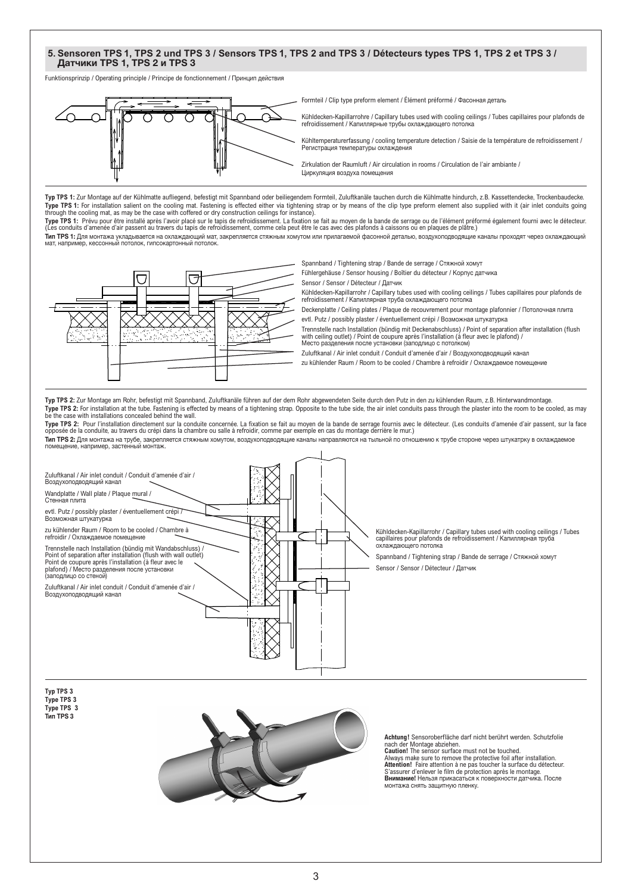# **5. Sensoren TPS 1, TPS 2 und TPS 3 / Sensors TPS 1, TPS 2 and TPS 3 / Détecteurs types TPS 1, TPS 2 et TPS 3 /**  Датчики TPS 1, TPS 2 и TPS 3

Funktionsprinzip / Operating principle / Principe de fonctionnement / Принцип действия



Formteil / Clip type preform element / Élément préformé / Фасонная деталь

Kühldecken-Kapillarrohre / Capillary tubes used with cooling ceilings / Tubes capillaires pour plafonds de refroidissement / Капиллярные трубы охлаждающего потолка

Kühltemperaturerfassung / cooling temperature detection / Saisie de la température de refroidissement / Регистрация температуры охлаждения

Zirkulation der Raumluft / Air circulation in rooms / Circulation de l'air ambiante / Циркуляция воздуха помещения

**Typ TPS 1:** Zur Montage auf der Kühlmatte aufliegend, befestigt mit Spannband oder beiliegendem Formteil, Zuluftkanäle tauchen durch die Kühlmatte hindurch, z.B. Kassettendecke, Trockenbaudecke. Type TPS 1: For installation salient on the cooling mat. Fastening is effected either via tightening strap or by means of the clip type preform element also supplied with it (air inlet conduits going<br>through the cooling ma

**Type TPS 1:** Prévu pour être installé après l'avoir placé sur le tapis de refroidissement. La fixation se fait au moyen de la bande de serrage ou de l'élément préformé également fourni avec le détecteur. (Les conduits d'amenée d'air passent au travers du tapis de refroidissement, comme cela peut être le cas avec des plafonds à caissons ou en plaques de plâtre.) Тип TPS 1: Для монтажа укладывается на охлаждающий мат, закрепляется стяжным хомутом или прилагаемой фасонной деталью, воздухоподводящие каналы проходят через охлаждающий мат, например, кессонный потолок, гипсокартонный потолок.

Spannband / Tightening strap / Bande de serrage / Стяжной хомут

Fühlergehäuse / Sensor housing / Boîtier du détecteur / Корпус датчика

Sensor / Sensor / Détecteur / Датчик

Kühldecken-Kapillarrohr / Capillary tubes used with cooling ceilings / Tubes capillaires pour plafonds de refroidissement / Капиллярная труба охлаждающего потолка

Deckenplatte / Ceiling plates / Plaque de recouvrement pour montage plafonnier / Потолочная плита evtl. Putz / possibly plaster / éventuellement crépi / Возможная штукатурка

- Trennstelle nach Installation (bündig mit Deckenabschluss) / Point of separation after installation (flush
- with ceiling outlet) / Point de coupure après l'installation (à fleur avec le plafond) / Место разделения после установки (заподлицо с потолком)
- Zuluftkanal / Air inlet conduit / Conduit d'amenée d'air / Воздухоподводящий канал
- zu kühlender Raum / Room to be cooled / Chambre à refroidir / Охлаждаемое помещение

**Typ TPS 2:** Zur Montage am Rohr, befestigt mit Spannband, Zuluftkanäle führen auf der dem Rohr abgewendeten Seite durch den Putz in den zu kühlenden Raum, z.B. Hinterwandmontage. Type TPS 2: For installation at the tube. Fastening is effected by means of a tightening strap. Opposite to the tube side, the air inlet conduits pass through the plaster into the room to be cooled, as may be the case with installations concealed behind the wall.

**Type TPS 2:** Pour l'installation directement sur la conduite concernée. La fixation se fait au moyen de la bande de serrage fournis avec le détecteur. (Les conduits d'amenée d'air passent, sur la face opposée de la conduite, au travers du crépi dans la chambre ou salle à refroidir, comme par exemple en cas du montage derrière le mur.) **Тип TPS 2:** Для монтажа на трубе, закрепляется стяжным хомутом, воздухоподводящие каналы направляются на тыльной по отношению к трубе стороне через штукатрку в охлаждаемое<br>помещение, например, застенный монтаж.



**Typ TPS 3 Type TPS 3 Type TPS 3** Тип TPS 3



**Achtung!** Sensoroberfläche darf nicht berührt werden. Schutzfolie nach der Montage abziehen. **Caution!** The sensor surface must not be touched.

Always make sure to remove the protective foil after installation. **Attention!** Faire attention à ne pas toucher la surface du détecteur. S'assurer d'enlever le film de protection après le montage.<br>**Внимание!** Нельзя прикасаться к поверхности датчика. После<br>монтажа снять защитную пленку.